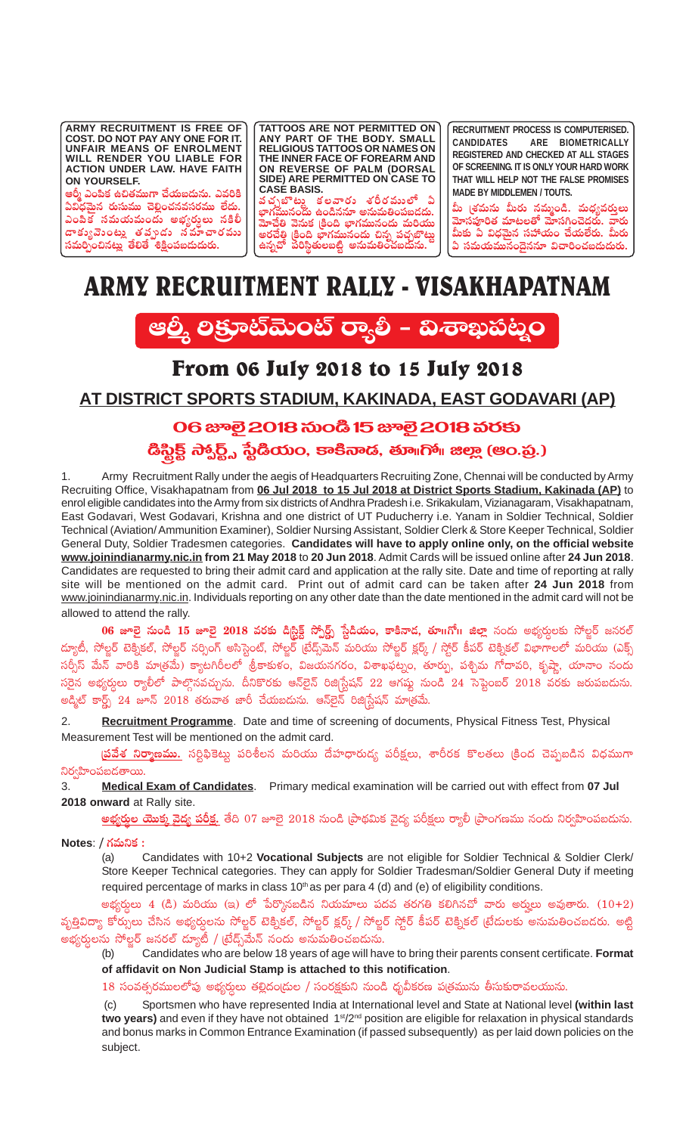**ARMY RECRUITMENT IS FREE OF COST. DO NOT PAY ANY ONE FOR IT. UNFAIR MEANS OF ENROLMENT WILL RENDER YOU LIABLE FOR ACTION UNDER LAW. HAVE FAITH ON YOURSELF.**

ఆర్మీ ఎంపిక ఉచితముగా చేయబదును. ఎవరికి ఏవిధమైన రుసుము చెల్లించనవసరము లేదు. ఎంపిక<sup>7</sup> సమయమందు అభ్యర్ధలు నకిలీ డాకుృవెంటు తమృదు నమాచారము<br>'' సమర్పించినట్లు తేలితే శిక్షింపబడుదురు<mark>.</mark>

**TATTOOS ARE NOT PERMITTED ON ANY PART OF THE BODY. SMALL RELIGIOUS TATTOOS OR NAMES ON THE INNER FACE OF FOREARM AND ON REVERSE OF PALM (DORSAL SIDE) ARE PERMITTED ON CASE TO CASE BASIS.**

వచ్చబొట్ట కలవారు శరీరములో ఏ<br>ాగమానంతు ఉం<sup>8</sup>నవా...పనుచింపలనకు **uÛ≤>∑eTTq+<äT ñ+&çqq÷ nqTeT‹+|üã&É<äT.** .<br>హెచేతి వెనుక క్రింది **భాగమునందు మరి**యు అరచేతి క్రింది భాగమునందు చిన్న పచ్చబొట్ట<br>ఉప్పణ్ ప్రతిష్టంలులో ఆస్ట్రహ్మ స్వహ్హ స్వహ్ **ñqï#√ |ü]dæú'·T\ã{Ϻ nqTeT‹+#·ã&ÉTqT.**

**RECRUITMENT PROCESS IS COMPUTERISED. CANDIDATES ARE BIOMETRICALLY REGISTERED AND CHECKED AT ALL STAGES OF SCREENING. IT IS ONLY YOUR HARD WORK THAT WILL HELP NOT THE FALSE PROMISES MADE BY MIDDLEMEN / TOUTS.**

మీ (శమను మీరు నమ్మండి. మధ్యవరులు<br>— గగంగగరు యాష్ట్రం మొదలు మోసపూరిత మాటలతో మోసగించెదరు. వారు<br>ీ ముందు *ముందులు చేమేమ* మీకు ఏ విధమైన సహాయం చేయలేరు. మీర<mark>ు</mark> **ఏ సమయమునందైననూ విచారించబడుదురు.** 

# ARMY RECRUITMENT RALLY - VISAKHAPATNAM



# From 06 July 2018 to 15 July 2018

# **AT DISTRICT SPORTS STADIUM, KAKINADA, EAST GODAVARI (AP)**

## 06 සූමි 2018 කිංයී 15 ස<sub>ී</sub>මි 2018 කිරති

డిస్టిక్ట్ స్వార్ట్స్ స్టేడియం, కాకినాడ, తూ∥గో∕॥ జిల్లా (ఆం.ప్ర.)

1. Army Recruitment Rally under the aegis of Headquarters Recruiting Zone, Chennai will be conducted by Army Recruiting Office, Visakhapatnam from **06 Jul 2018 to 15 Jul 2018 at District Sports Stadium, Kakinada (AP)** to enrol eligible candidates into the Army from six districts of Andhra Pradesh i.e. Srikakulam, Vizianagaram, Visakhapatnam, East Godavari, West Godavari, Krishna and one district of UT Puducherry i.e. Yanam in Soldier Technical, Soldier Technical (Aviation/ Ammunition Examiner), Soldier Nursing Assistant, Soldier Clerk & Store Keeper Technical, Soldier General Duty, Soldier Tradesmen categories. **Candidates will have to apply online only, on the official website www.joinindianarmy.nic.in from 21 May 2018** to **20 Jun 2018**. Admit Cards will be issued online after **24 Jun 2018**. Candidates are requested to bring their admit card and application at the rally site. Date and time of reporting at rally site will be mentioned on the admit card. Print out of admit card can be taken after **24 Jun 2018** from www.joinindianarmy.nic.in. Individuals reporting on any other date than the date mentioned in the admit card will not be allowed to attend the rally.

**06 జూలై నుండి 15 జూలై 2018 వరకు డి<sub></sub>స్టిక్ట్ స్పోర్ట్స్ స్టేడియం, కాకినాడ, తూ॥గో॥ జిల్లా నందు అభ్యర్శలకు సోల్జర్ జనరల్** డ్యూటీ, సోల్డర్ టెక్నికల్, సోల్జర్ నర్సింగ్ అసిస్టెంట్, సోల్జర్ (టేడ్స్మెమెన్ మరియు సోల్జర్ క్లర్క్ / స్టోర్ కీపర్ టెక్నికల్ విభాగాలలో మరియు (ఎక్స్ సర్సీస్ మేన్ వారికి మాత్రమే) క్యాటగిరీలలో `శ్రీకాకుళం, విజయనగరం, విశాఖఫట్నం, తూర్పు, పశ్చిమ గోదావరి, కృష్ణా, యానాం నందు సరైన అభ్యర్శలు ర్యాలీలో పాల్గొనవచ్చును. దీనికొరకు ఆన్ొలైన్ రిజి|స్టేషన్ 22 ఆగష్టు నుండి 24 సెప్టెంబర్ 2018 వరకు జరుపబడును. అడ్మిట్ కార్ట్స్ 24 జూన్  $2018$  తరువాత జారీ చేయబదును. ఆన్**లైన్ రిజి**[స్టేషన్ మాత్రమే.

2. **Recruitment Programme**. Date and time of screening of documents, Physical Fitness Test, Physical Measurement Test will be mentioned on the admit card.

<mark>(పవేశ నిర్మాణము.</mark> సర్టిఫికెట్లు పరిశీలన మరియు దేహధారుడ్య పరీక్షలు, శారీరక కొలతలు (కింద చెప్పబడిన విధముగా ìs¡«Væ≤+|üã&É'êsTT.

3. **Medical Exam of Candidates**. Primary medical examination will be carried out with effect from **07 Jul 2018 onward** at Rally site.

<mark>అభ్యర్తుల యొక్తు వైద్య పరీక్ష.</mark> తేది 07 జూలై 2018 నుండి [పాథమిక వైద్య పరీక్షలు ర్యాలీ [పాంగణము నందు నిర్వహింపబడును.

**Notes**: / గమనిక :<br>(a)

(a) Candidates with 10+2 **Vocational Subjects** are not eligible for Soldier Technical & Soldier Clerk/ Store Keeper Technical categories. They can apply for Soldier Tradesman/Soldier General Duty if meeting required percentage of marks in class 10<sup>th</sup> as per para 4 (d) and (e) of eligibility conditions.

అభ్యర్తులు 4 (డి) మరియు (ఇ) లో పేర్కొనబడిన నియమాలు పదవ తరగతి కలిగినచో వారు అర్హులు అవుతారు.  $(10+2)$ వృత్తివిద్యా కోర్సులు చేసిన అభ్యర్ధలను సోల్జర్ టెక్నికల్, సోల్జర్ క్లర్క్ / సోల్జర్ స్టోర్ కీపర్ టెక్నికల్ (టేదులకు అసుమతించబడరు. అట్టి అభ్యర్ధులను సోల్జర్ జనరల్ ద్యూటీ / (టేడ్స్మేమేన్ నందు అనుమతించబడును.<br>(b) Candidates who are below 18 vears of age will hav

(b) Candidates who are below 18 years of age will have to bring their parents consent certificate. **Format of affidavit on Non Judicial Stamp is attached to this notification**.

 $18$  సంవత్సరములలోపు అభ్యర్ధులు తల్లిదం[దుల / సంరక్షకుని నుండి ధృవీకరణ ప[తమును తీసుకురావలయును.

(c) Sportsmen who have represented India at International level and State at National level **(within last** two years) and even if they have not obtained 1<sup>st</sup>/2<sup>nd</sup> position are eligible for relaxation in physical standards and bonus marks in Common Entrance Examination (if passed subsequently) as per laid down policies on the subject.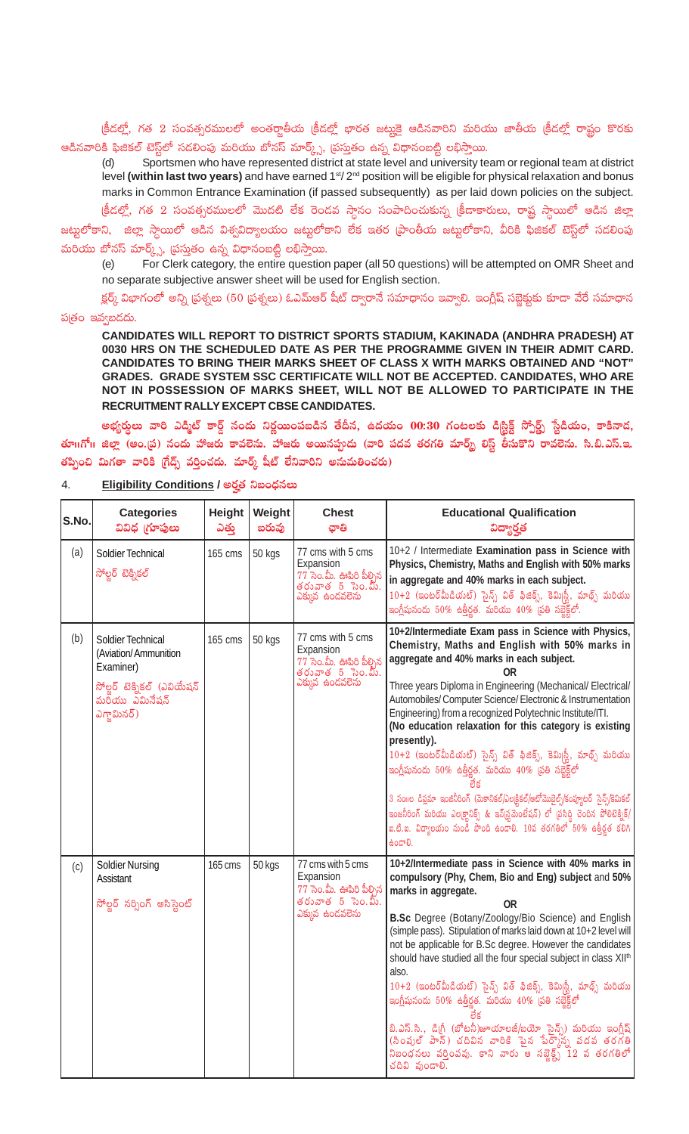క్రీడల్లో, గత 2 సంవత్సరములలో అంతర్జాతీయ క్రీడల్లో భారత జట్మకై ఆడినవారిని మరియు జాతీయ క్రీడల్లో రాష్ట్రం కొరకు ఆడినవారికి ఫిజికల్ టెస్ట్లేలో సడలింపు మరియు బోనస్ మార్క్స్, (పస్తుతం ఉన్న విధానంబట్టి లభిస్తాయి.

Sportsmen who have represented district at state level and university team or regional team at district  $(d)$ level (within last two years) and have earned 1<sup>st</sup>/2<sup>nd</sup> position will be eligible for physical relaxation and bonus marks in Common Entrance Examination (if passed subsequently) as per laid down policies on the subject.

క్రీడల్లో, గత 2 సంవత్సరములలో మొదటి లేక రెండవ స్ధానం సంపాదించుకున్న క్రీడాకారులు, రాష్ట్ర స్ధాయిలో ఆడిన జిల్లా జట్టలోకాని, జిల్లా స్దాయిలో ఆడిన విశ్వవిద్యాలయం జట్టులోకాని లేక ఇతర [పాంతీయ జట్టలోకాని, వీరికి ఫిజికల్ టెస్ట్లలో సడలింపు మరియు బోనస్ మార్క్స్, (పస్తుతం ఉన్న విధానంబట్టి లభిస్తాయి.

For Clerk category, the entire question paper (all 50 questions) will be attempted on OMR Sheet and  $(e)$ no separate subjective answer sheet will be used for English section.

క్లర్మ్ విభాగంలో అన్ని (పశ్నలు (50 (పశ్నలు) ఓఎమ్ఆర్ షీట్ ద్వారానే సమాధానం ఇవ్వాలి. ఇంగ్లీష్ సబ్జెక్టకు కూడా వేరే సమాధాన పత్రం ఇవ్వబడదు.

CANDIDATES WILL REPORT TO DISTRICT SPORTS STADIUM, KAKINADA (ANDHRA PRADESH) AT 0030 HRS ON THE SCHEDULED DATE AS PER THE PROGRAMME GIVEN IN THEIR ADMIT CARD. CANDIDATES TO BRING THEIR MARKS SHEET OF CLASS X WITH MARKS OBTAINED AND "NOT" GRADES. GRADE SYSTEM SSC CERTIFICATE WILL NOT BE ACCEPTED. CANDIDATES, WHO ARE NOT IN POSSESSION OF MARKS SHEET, WILL NOT BE ALLOWED TO PARTICIPATE IN THE RECRUITMENT RALLY EXCEPT CBSE CANDIDATES.

అభ్యర్నలు వారి ఎడ్మిట్ కార్డ్ నందు నిర్ణయింపబడిన తేదీన, ఉదయం 00:30 గంటలకు డిగ్టిక్ట్ స్పోర్ట్స్ స్టేడియం, కాకినాడ, తూ॥గో॥ జిల్లా (ఆం.డ్ర) నందు హాజరు కావలెను. హాజరు అయినప్పుడు (వారి పదవ తరగతి మార్మ్ లిస్ట్ తీసుకొని రావలెను. సి.బి.ఎస్.ఇ. తప్పించి మిగతా వారికి (గేడ్స్ వర్తించదు. మార్క్ షీట్ లేనివారిని అనుమతించరు)

| S.No. | <b>Categories</b><br>వివిధ గూపులు                                                                                      | <b>Height</b><br>ఎతు | Weight<br>బరువు | <b>Chest</b><br>ಫೌಡಿ                                                                                  | <b>Educational Qualification</b><br>విద్యార్హత                                                                                                                                                                                                                                                                                                                                                                                                                                                                                                                                                                                                                                                                                                                                                                                          |
|-------|------------------------------------------------------------------------------------------------------------------------|----------------------|-----------------|-------------------------------------------------------------------------------------------------------|-----------------------------------------------------------------------------------------------------------------------------------------------------------------------------------------------------------------------------------------------------------------------------------------------------------------------------------------------------------------------------------------------------------------------------------------------------------------------------------------------------------------------------------------------------------------------------------------------------------------------------------------------------------------------------------------------------------------------------------------------------------------------------------------------------------------------------------------|
| (a)   | Soldier Technical<br>సోల్జర్ టెక్నికల్                                                                                 | 165 cms              | 50 kgs          | 77 cms with 5 cms<br>Expansion<br>77 సెం.మీ. ఊపిరి పీల్చిన<br>తరువాత $5$ సెం.మీ.<br>ఎక్కువ ఉండవలెను   | 10+2 / Intermediate Examination pass in Science with<br>Physics, Chemistry, Maths and English with 50% marks<br>in aggregate and 40% marks in each subject.<br>$10+2$ (ఇంటర్మీదియట్) సైన్స్ విత్ ఫిజిక్స్, కెమిగ్టీ, మాథ్స్ మరియు<br>ఇంగ్లీషునందు $50\%$ ఉత్తీర్ణత. మరియు $40\%$ (పతి సబ్జెక్ట్ <i>లో</i> .                                                                                                                                                                                                                                                                                                                                                                                                                                                                                                                             |
| (b)   | Soldier Technical<br>(Aviation/Ammunition<br>Examiner)<br>సోల్టర్ టెక్నికల్ (ఎవియేషన్<br>మరియు ఎమినేషన్<br>ఎగ్జామినర్) | 165 cms              | 50 kgs          | 77 cms with 5 cms<br>Expansion<br>77 సెం.మీ. ఊపిరి పీల్చిన<br>తరువాత - 5 - సెం.మీ.<br>ఎక్కువ ఉండవలెను | 10+2/Intermediate Exam pass in Science with Physics,<br>Chemistry, Maths and English with 50% marks in<br>aggregate and 40% marks in each subject.<br>0R<br>Three years Diploma in Engineering (Mechanical/Electrical/<br>Automobiles/ Computer Science/ Electronic & Instrumentation<br>Engineering) from a recognized Polytechnic Institute/ITI.<br>(No education relaxation for this category is existing<br>presently).<br>$10+2$ (ఇంటర్మీడియట్) సైన్స్ విత్ ఫిజిక్స్, కెమి స్టీ, మాథ్స్ మరియు<br>ఇంగ్లీషునందు $50\%$ ఉత్తీర్ణత. మరియు $40\%$ (పతి సబ్జెక్ట్లలో<br>3 సంగల డిప్లమా ఇంజినీరింగ్ (మెకానికల్/ఎలక్షికల్/ఆటోమొబైల్స్/కంప్యూటర్ సైన్స్/కెమికల్<br>ఇంజనీరింగ్ మరియు ఎలక్ట్గానిక్స్ & ఇన్స్రమైనెంటేషన్) లో (పసిద్ధి చెందిన పోలిటెక్నిక్/<br>ఐ.టి.ఐ. విద్యాలయం నుండి పొంది ఉండాలి. 10వ తరగతిలో 50% ఉత్తీర్థత కలిగి<br>60ದಾರಿ. |
| (c)   | <b>Soldier Nursing</b><br><b>Assistant</b><br>సోల్జర్ నర్భింగ్ అసిస్టెంట్                                              | 165 cms              | 50 kgs          | 77 cms with 5 cms<br>Expansion<br>77 సెం.మీ. ఊపిరి పీల్చిన<br>తరువాత $5$ సెం.మీ.<br>ఎక్కువ ఉండవలెను   | 10+2/Intermediate pass in Science with 40% marks in<br>compulsory (Phy, Chem, Bio and Eng) subject and 50%<br>marks in aggregate.<br>0R<br>B.Sc Degree (Botany/Zoology/Bio Science) and English<br>(simple pass). Stipulation of marks laid down at 10+2 level will<br>not be applicable for B.Sc degree. However the candidates<br>should have studied all the four special subject in class XII <sup>th</sup><br>also.<br>$10+2$ (ఇంటర్మీడియట్) సైన్స్ విత్ ఫిజిక్స్, కెమి <sub> </sub> స్లీ, మాథ్స్ మరియు<br>ఇంగ్లీషునందు $50\%$ ఉత్తీర్ణత. మరియు $40\%$ (పతి సబ్జెక్ట్లలో<br>బి.ఎస్.సి., డిగ్రీ (బోటనీ)జూయాలజీ/బయో సైన్స్) మరియు ఇంగ్లీష్<br>(సింపుల్ పాన్) చదివిన వారికి పైన పేర్క్రౌన్న వదవ తరగతి<br>నిబంధనలు వర్తింపవు. కాని వారు ఆ సబ్జెక్ట్స్ $12$ వ తరగతిలో<br>చదివి వుండాలి.                                                 |

#### 4. Eligibility Conditions / అర్హత నిబంధనలు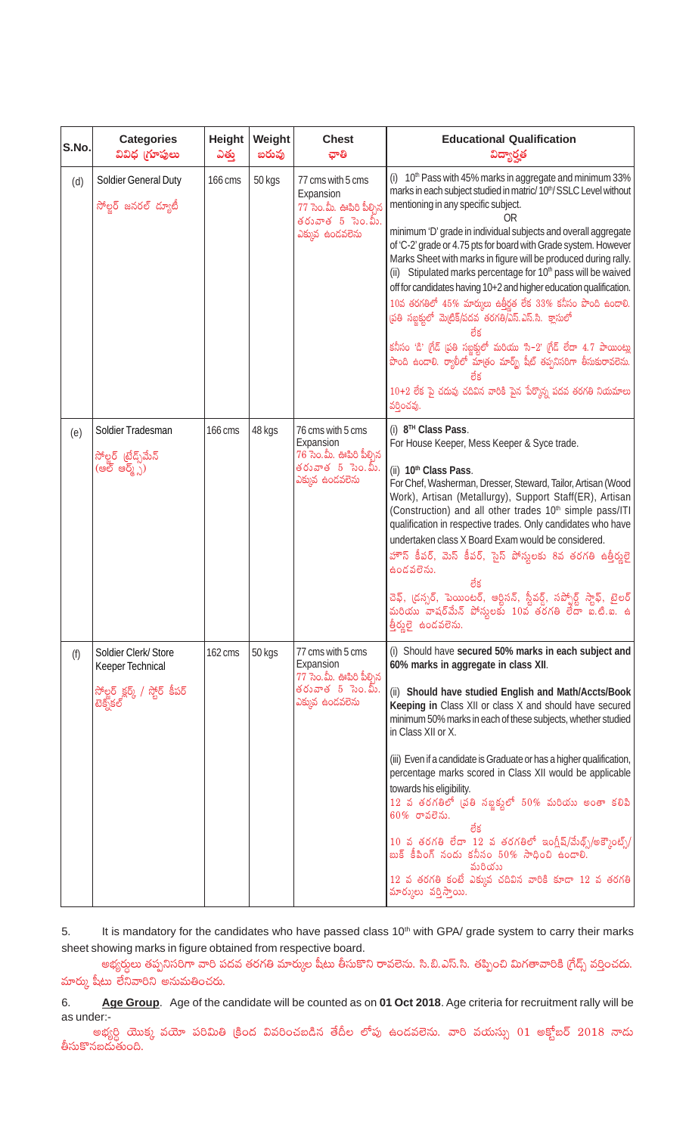| S.No. | <b>Categories</b><br>వివిధ గ్రూపులు                                                    | <b>Height</b><br>ఎతు్ | Weight<br>బరువు | <b>Chest</b><br>ఛాతి                                                                                    | <b>Educational Qualification</b><br>విద్యార్హత                                                                                                                                                                                                                                                                                                                                                                                                                                                                                                                                                                                                                                                                                                                                                                                                                                                                                             |
|-------|----------------------------------------------------------------------------------------|-----------------------|-----------------|---------------------------------------------------------------------------------------------------------|--------------------------------------------------------------------------------------------------------------------------------------------------------------------------------------------------------------------------------------------------------------------------------------------------------------------------------------------------------------------------------------------------------------------------------------------------------------------------------------------------------------------------------------------------------------------------------------------------------------------------------------------------------------------------------------------------------------------------------------------------------------------------------------------------------------------------------------------------------------------------------------------------------------------------------------------|
| (d)   | <b>Soldier General Duty</b><br>సోల్జర్ జనరల్ ద్యూటీ                                    | 166 cms               | 50 kgs          | 77 cms with 5 cms<br>Expansion<br>77 సెం.మీ. ఊపిరి పీల్చిన<br>తరువాత 5 సెం.మీ.<br>ఎక్కువ ఉండవలెను       | (i) 10 <sup>th</sup> Pass with 45% marks in aggregate and minimum 33%<br>marks in each subject studied in matric/10 <sup>th</sup> /SSLC Level without<br>mentioning in any specific subject.<br>0R<br>minimum 'D' grade in individual subjects and overall aggregate<br>of 'C-2' grade or 4.75 pts for board with Grade system. However<br>Marks Sheet with marks in figure will be produced during rally.<br>(ii) Stipulated marks percentage for 10 <sup>th</sup> pass will be waived<br>off for candidates having 10+2 and higher education qualification.<br>$10$ వ తరగతిలో $45\%$ మార్ములు ఉత్తీర్ణత లేక $33\%$ కనీసం పొంది ఉందాలి.<br>స్రతి సబ్జక్నలో మెట్రిక్/పదవ తరగతి/ఎస్.ఎస్.సి. క్లాసులో<br>కనీసం 'డి' గ్రేడ్ (పతి సబ్జక్షులో మరియు 'సి–2' గ్రేడ్ లేదా 4.7 పాయింట్లు<br>పొంది ఉందాలి. ర్యాలీలో మాత్రం మార్బ్ షీట్ తప్పనిసరిగా తీసుకురావలెను.<br>$10+2$ లేక పై చదువు చదివిన వారికి పైన పేర్కొన్న పదవ తరగతి నియమాలు<br>వర్తించవు. |
| (e)   | Soldier Tradesman<br>సోల్జర్ (టేడ్స్మేమ్<br>(ఇల్డ్ ఇల్డ్స్)                            | 166 cms               | 48 kgs          | 76 cms with 5 cms<br>Expansion<br>$76$ సెం.మీ. ఊపిరి పీల్చిన<br>తరువాత 5 సెం.మీ.<br>ఎక్కువ ఉండవలెను     | (i) 8™ Class Pass.<br>For House Keeper, Mess Keeper & Syce trade.<br>(ii) 10 <sup>th</sup> Class Pass.<br>For Chef, Washerman, Dresser, Steward, Tailor, Artisan (Wood<br>Work), Artisan (Metallurgy), Support Staff(ER), Artisan<br>(Construction) and all other trades 10 <sup>th</sup> simple pass/ITI<br>qualification in respective trades. Only candidates who have<br>undertaken class X Board Exam would be considered.<br>హౌస్ కీపర్, మెస్ కీపర్, సైస్ పోస్తులకు 8వ తరగతి ఉత్తీర్తులై<br>ఉందవలెను.<br>లేక<br>చెఫ్, (డస్సర్, పెయింటర్, ఆర్టిసన్, స్టీవర్డ్, సప్పోర్ట్ స్టాఫ్, టైలర్<br>మరియు వాషర్మేన్ పోస్టలకు 10వ తరగతి లేదా ఐ.టి.ఐ. ఉ<br>త్తీర్ణులై ఉండవలెను.                                                                                                                                                                                                                                                                   |
| (f)   | Soldier Clerk/Store<br>Keeper Technical<br>సోల్జర్ క్లర్క్ / స్టోర్ కీపర్<br>టెక్నికల్ | 162 cms               | 50 kgs          | 77 cms with 5 cms<br>Expansion<br>$77$ సెం.మీ. ఊపిరి పీల్చిన<br>తరువాత $5\,$ సెం.మీ.<br>ఎక్కువ ఉందవలెను | (i) Should have secured 50% marks in each subject and<br>60% marks in aggregate in class XII.<br>(ii) Should have studied English and Math/Accts/Book<br>Keeping in Class XII or class X and should have secured<br>minimum 50% marks in each of these subjects, whether studied<br>in Class XII or X.<br>(iii) Even if a candidate is Graduate or has a higher qualification,<br>percentage marks scored in Class XII would be applicable<br>towards his eligibility.<br>$12$ వ తరగతిలో (పతి సబ్జక్టులో $50\%$ మరియు అంతా కలిపి<br>$60\%$ రావలెను.<br>లేక<br>$10$ వ తరగతి లేదా $12$ వ తరగతిలో ఇంగ్లీష్/వేంథ్స్/అక్కౌంట్స్/<br>బుక్ కీపింగ్ నందు కనీసం $50\%$ సాధించి ఉందాలి.<br>వురియు<br>$12$ వ తరగతి కంటే ఎక్కువ చదివిన వారికి కూడా 12 వ తరగతి<br>మార్కులు వర్తిస్తాయి.                                                                                                                                                                 |

It is mandatory for the candidates who have passed class 10<sup>th</sup> with GPA/ grade system to carry their marks 5. sheet showing marks in figure obtained from respective board.

అభ్యర్ధులు తప్పనిసరిగా వారి పదవ తరగతి మార్కుల షీటు తీసుకొని రావలెను. సి.బి.ఎస్.సి. తప్పించి మిగతావారికి (గేడ్స్ వర్తించదు. మార్కు షీటు లేనివారిని అనుమతించరు.

Age Group. Age of the candidate will be counted as on 01 Oct 2018. Age criteria for recruitment rally will be 6. as under:-

అభ్యర్ధి యొక్క వయో పరిమితి క్రింద వివరించబడిన తేదీల లోపు ఉండవలెను. వారి వయస్సు 01 అక్టోబర్  $2018$  నాడు తీసుకొనబదుతుంది.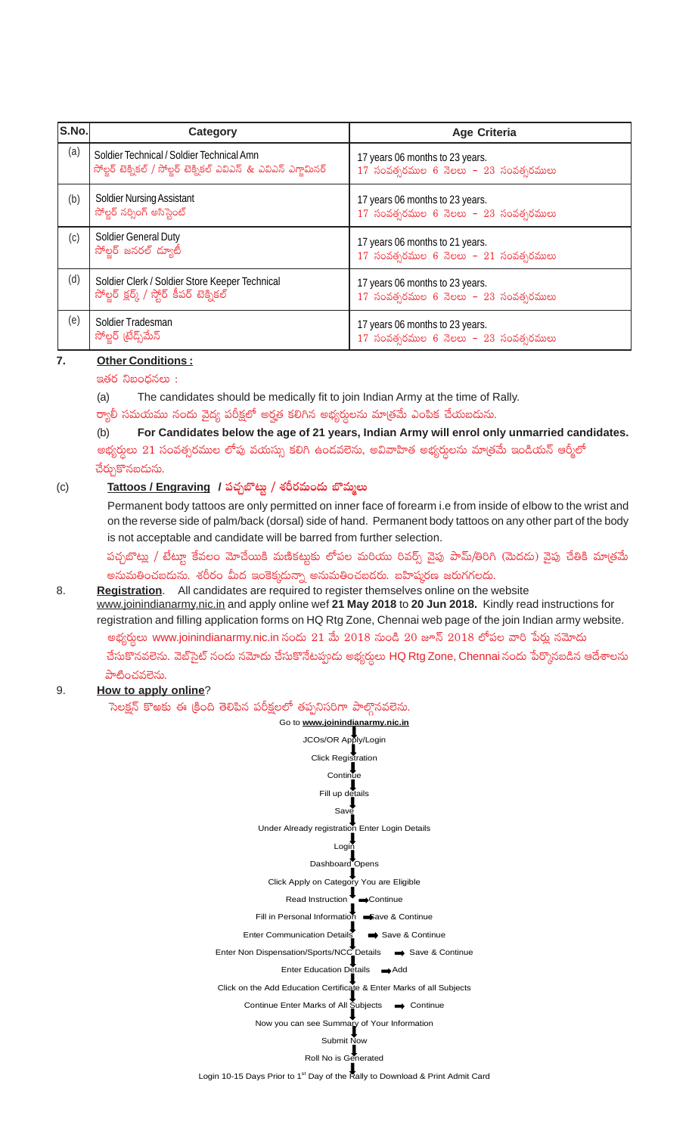| S.No. | Category                                                                                                      | <b>Age Criteria</b>                                                           |
|-------|---------------------------------------------------------------------------------------------------------------|-------------------------------------------------------------------------------|
| (a)   | Soldier Technical / Soldier Technical Amn<br>సోల్జర్ టెక్నికల్ / సోల్జర్ టెక్నికల్ ఎవిఎన్ & ఎవిఎన్ ఎగ్లామినర్ | 17 years 06 months to 23 years.<br>17 సంవత్సరముల 6 నెలలు - 23 సంవత్సరములు     |
| (b)   | <b>Soldier Nursing Assistant</b><br>సోల్జర్ నర్సింగ్ అసిస్టెంట్                                               | 17 years 06 months to 23 years.<br>$17$ సంవత్సరముల 6 నెలలు – $23$ సంవత్సరములు |
| (c)   | <b>Soldier General Duty</b><br>సోల్టర్ జనరల్ ద్యూటీ                                                           | 17 years 06 months to 21 years.<br>$17$ సంవత్సరముల 6 నెలలు - $21$ సంవత్సరములు |
| (d)   | Soldier Clerk / Soldier Store Keeper Technical<br>సోల్జర్ క్లర్క్ / స్టోర్ కీపర్ టెక్నికల్                    | 17 years 06 months to 23 years.<br>$17$ సంవత్సరముల 6 నెలలు – $23$ సంవత్సరములు |
| (e)   | Soldier Tradesman<br>సోల్లర్ (టేడ్స్ మేన్                                                                     | 17 years 06 months to 23 years.<br>17 సంవత్సరముల 6 నెలలు - $23$ సంవత్సరములు   |

## **7. Other Conditions :**

## $\approx$ తర నిబంధనలు $\approx$ :

(a) The candidates should be medically fit to join Indian Army at the time of Rally.

ర్యాలీ సమయము నందు వైద్య పరీక్షలో అర్హత కలిగిన అభ్యర్ధులను మాత్రమే ఎంపిక చేయబడును.<br>(b) For Candidates below the age of 21 years, Indian Army will enrol onl

## (b) **For Candidates below the age of 21 years, Indian Army will enrol only unmarried candidates.** అభ్యర్ధులు  $21$  సంవత్సరముల లోపు వయస్సు కలిగి ఉండవలెను, అవివాహిత అభ్యర్ధులను మా[తమే ఇండియన్ ఆర్మీలో

చేర్చుకొనబడును.

## (c) **Tattoos / Engraving / |ü#·Ãu§≥Tº / X¯Øs¡eT+<äT u§eTà\T**

Permanent body tattoos are only permitted on inner face of forearm i.e from inside of elbow to the wrist and on the reverse side of palm/back (dorsal) side of hand. Permanent body tattoos on any other part of the body is not acceptable and candidate will be barred from further selection.

పచ్చబొట్లు / టేట్లూ కేవలం మోచేయికి మణికట్టుకు లోపల మరియు రివర్స్ వైపు పామ్/తిరిగి (మెదడు) వైపు చేతికి మాత్రమే అనుమతించబదును. శరీరం మీద ఇంకెక్కదున్నా అనుమతించబడరు. బహిష్కరణ జరుగగలదు.

## 8. **Registration**. All candidates are required to register themselves online on the website www.joinindianarmy.nic.in and apply online wef **21 May 2018** to **20 Jun 2018.** Kindly read instructions for registration and filling application forms on HQ Rtg Zone, Chennai web page of the join Indian army website.

అభ్యర్ధులు www.joinindianarmy.nic.in నందు 21 మే  $2018$  నుండి  $20$  జూన్  $2018$  లోపల వారి పేర్లు నమోదు చేసుకొనవలెను. వెబ్సైట్ నందు నమోదు చేసుకొనేటప్పుడు అభ్యర్శలు HQ Rtg Zone, Chennai నందు పేర్కొనబడిన ఆదేశాలను పాటించవలెను.

## 9. **How to apply online**?

ెసెలక్షన్ కొఱకు ఈ క్రింది తెలిపిన పరీక్షలలో తప్పనిసరిగా పాల్గొనవలెను.

Go to **www.joinindianarmy.nic.in** JCOs/OR Apply/Login Click Registration Continue Fill up details Say Under Already registration Enter Login Details Login Dashboard Opens Click Apply on Category You are Eligible Read Instruction Continue Fill in Personal Information Save & Continue Enter Communication Details Save & Continue Enter Non Dispensation/Sports/NCC Details  $\implies$  Save & Continue Enter Education Details **Add** Click on the Add Education Certificate & Enter Marks of all Subjects Continue Enter Marks of All Subjects  $\rightarrow$  Continue Now you can see Summary of Your Information Submit Now Roll No is Generated

Login 10-15 Days Prior to 1<sup>st</sup> Day of the Rally to Download & Print Admit Card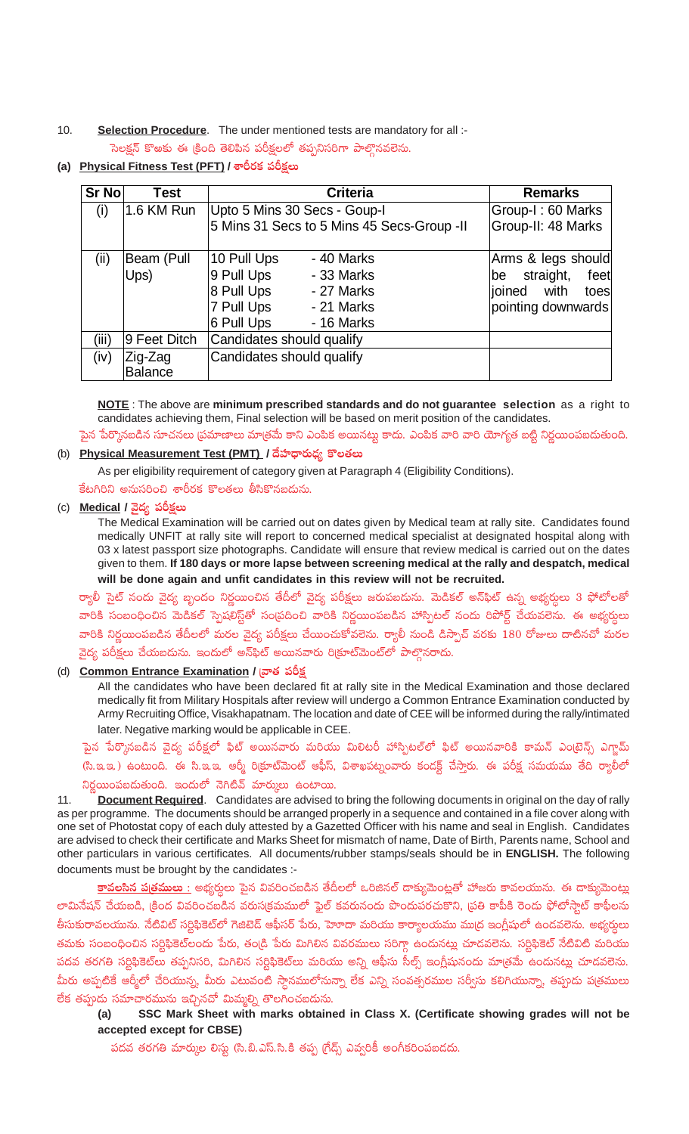10. **Selection Procedure**. The under mentioned tests are mandatory for all :- ెసెలక్షన్ కొఱకు ఈ క్రింది తెలిపిన పరీక్షలలో తప్పనిసరిగా పాల్గొనవలెను.

**(a)** Physical Fitness Test (PFT) / శారీరక పరీక్షలు

| Sr No | Test           | <b>Criteria</b>                            | <b>Remarks</b>          |
|-------|----------------|--------------------------------------------|-------------------------|
| (i)   | 1.6 KM Run     | Upto 5 Mins 30 Secs - Goup-I               | Group-I: 60 Marks       |
|       |                | 5 Mins 31 Secs to 5 Mins 45 Secs-Group -II | Group-II: 48 Marks      |
| (ii)  | Beam (Pull     | 10 Pull Ups<br>- 40 Marks                  | Arms & legs should      |
|       | Ups)           | 9 Pull Ups<br>- 33 Marks                   | straight,<br>feet<br>be |
|       |                | 8 Pull Ups<br>- 27 Marks                   | ioined<br>with<br>toes  |
|       |                | 7 Pull Ups<br>- 21 Marks                   | pointing downwards      |
|       |                | 6 Pull Ups<br>- 16 Marks                   |                         |
| (iii) | 9 Feet Ditch   | Candidates should qualify                  |                         |
| (iv)  | Zig-Zag        | Candidates should qualify                  |                         |
|       | <b>Balance</b> |                                            |                         |

**NOTE** : The above are **minimum prescribed standards and do not guarantee selection** as a right to candidates achieving them, Final selection will be based on merit position of the candidates.

పైన పేర్కొనబడిన సూచనలు [పమాణాలు మా[తమే కాని ఎంపిక అయినట్లు కాదు. ఎంపిక వారి వారి యోగ్యత బట్టి నిర్ణయింపబడుతుంది.

## (b) Physical Measurement Test (PMT) / దేహధారుఢ్య కొలతలు

As per eligibility requirement of category given at Paragraph 4 (Eligibility Conditions).

కేటగిరిని అనుసరించి శారీరక కొలతలు తీసికొనబడును.

## (c) **Medical / వైద్య పరీక్షలు**

The Medical Examination will be carried out on dates given by Medical team at rally site. Candidates found medically UNFIT at rally site will report to concerned medical specialist at designated hospital along with 03 x latest passport size photographs. Candidate will ensure that review medical is carried out on the dates given to them. **If 180 days or more lapse between screening medical at the rally and despatch, medical will be done again and unfit candidates in this review will not be recruited.**

ర్యాలీ సైట్ నందు వైద్య బృందం నిర్ణయించిన తేదీలో వైద్య పరీక్షలు జరుపబడును. మెడికల్ అన్\$ిట్ ఉన్న అభ్యర్ధులు 3 ఫోటోలతో వారికి సంబంధించిన మెడికల్ స్పెషలిస్ట్ఈే సం[పదించి వారికి నిర్ణయింపబడిన హాస్పిటల్ నందు రిపోర్ట్ చేయవలెను. ఈ అభ్యర్ధలు వారికి నిర్ణయింపబడిన తేదీలలో మరల వైద్య పరీక్షలు చేయించుకోవలెను. ర్యాలీ నుండి డిస్పాచ్ వరకు 180 రోజులు దాటినచో మరల వైద్య పరీక్షలు చేయబడును. ఇందులో అన్\$ిట్ అయినవారు రి(కూట్మెంట్లో పాల్గొనరాదు.

## (d) Common Entrance Examination / బాత పరీ<u>క</u>

All the candidates who have been declared fit at rally site in the Medical Examination and those declared medically fit from Military Hospitals after review will undergo a Common Entrance Examination conducted by Army Recruiting Office, Visakhapatnam. The location and date of CEE will be informed during the rally/intimated later. Negative marking would be applicable in CEE.

పైన పేర్కొనబడిన వైద్య పరీక్షలో ఫిట్ అయినవారు మరియు మిలిటరీ హాస్పిటల్లో ఫిట్ అయినవారికి కామన్ ఎంటైన్స్ ఎగ్జామ్ (సి.ఇ.ఇ.) ఉంటుంది. ఈ సి.ఇ.ఇ. ఆర్మీ రిక్రూట్మెంట్ ఆఫీస్, విశాఖపట్నంవారు కండక్ట్ చేస్తారు. ఈ పరీక్ష సమయము తేది <mark>ర్యా</mark>లీలో నిర్ణయింపబడుతుంది. ఇందులో నెగిటివ్ మార్కులు ఉంటాయి.

11. **Document Required**. Candidates are advised to bring the following documents in original on the day of rally as per programme. The documents should be arranged properly in a sequence and contained in a file cover along with one set of Photostat copy of each duly attested by a Gazetted Officer with his name and seal in English. Candidates are advised to check their certificate and Marks Sheet for mismatch of name, Date of Birth, Parents name, School and other particulars in various certificates. All documents/rubber stamps/seals should be in **ENGLISH.** The following documents must be brought by the candidates :-

<mark>కావలసిన ప[త్రములు :</mark> అభ్యర్శలు పైన వివరించబడిన తేదీలలో ఒరిజినల్ డాక్యుమెంట్లతో హాజరు కావలయును. ఈ డాక్యుమెంట్లు లామినేషన్ చేయబడి, (కింద వివరించబడిన వరుస(కమములో ఫైల్ కవరునందు పొందుపరచుకొని, (పతి కాపీకి రెండు ఫోటోస్టాట్ కాఫీలను .<br>తీసుకురావలయును. నేటివిట్ సర్టిఫికెట్లో గెజిటెడ్ ఆఫీసర్ పేరు, హెూదా మరియు కార్యాలయము ముద్ర ఇంగ్లీషులో ఉండవలెను. అభ్యర్డులు తమకు సంబంధించిన సర్టిఫికెట్లందు పేరు, తం[డి పేరు మిగిలిన వివరములు సరిగ్గా ఉండునట్లు చూడవలెను. సర్టిఫికెట్ నేటివిటి మరియు పదవ తరగతి సర్టిఫికెట్లు తప్పనిసరి, మిగిలిన సర్టిఫికెట్లు మరియు అన్ని ఆఫీసు సీల్స్ ఇంగ్లీషునందు మాత్రమే ఉందునట్లు చూడవలెను. మీరు అప్పటికే ఆర్మీలో చేరియున్న, మీరు ఎటువంటి స్దానములోనున్నా లేక ఎన్ని సంవత్సరముల సర్వీసు కలిగియున్నా, తప్పుడు ప(తములు లేక తప్పుడు సమాచారమును ఇచ్చినచో మిమ్మల్ని తొలగించబడును.<br>(a) SSC Mark Sheet with marks obtain

SSC Mark Sheet with marks obtained in Class X. (Certificate showing grades will not be **accepted except for CBSE)**

పదవ తరగతి మార్కుల లిస్టు (సి.బి.ఎస్.సి.కి తప్ప గ్రేడ్స్ ఎవ్వరికీ అంగీకరింపబడదు.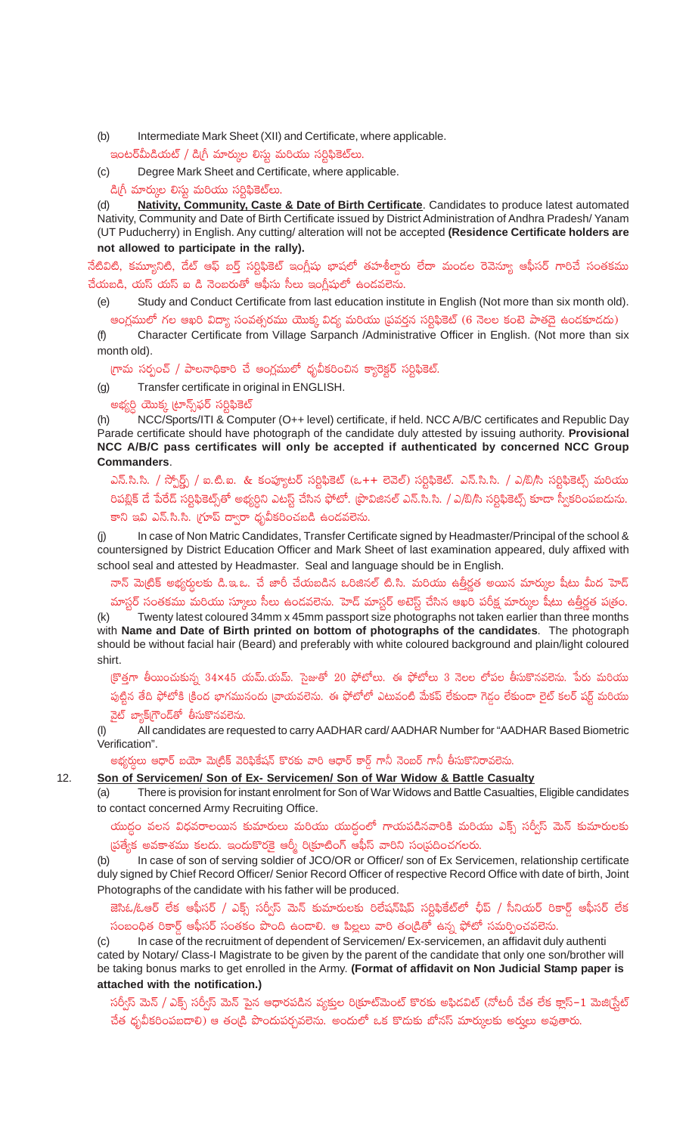Intermediate Mark Sheet (XII) and Certificate, where applicable.  $(b)$ 

ఇంటర్మీపిడియట్ / డిగ్రీ మార్ముల లిస్టు మరియు సర్టిఫికెట్లు.

Degree Mark Sheet and Certificate, where applicable.  $(c)$ 

డిగ్రీ మార్కుల లిస్టు మరియు సర్టిఫికెట్లు.

 $(d)$ Nativity, Community, Caste & Date of Birth Certificate. Candidates to produce latest automated Nativity, Community and Date of Birth Certificate issued by District Administration of Andhra Pradesh/Yanam (UT Puducherry) in English. Any cutting/ alteration will not be accepted (Residence Certificate holders are not allowed to participate in the rally).

నేటివిటి, కమ్యూనిటి, దేట్ ఆఫ్ బర్త్ సర్టిఫికెట్ ఇంగ్లీషు భాషలో తహశీల్దారు లేదా మండల రెవెన్యూ ఆఫీసర్ గారిచే సంతకము చేయబడి, యస్ యస్ ఐ డి నెంబరుతో ఆఫీసు సీలు ఇంగ్లీషులో ఉండవలెను.

Study and Conduct Certificate from last education institute in English (Not more than six month old).  $(e)$ అంగ్లములో గల ఆఖరి విద్యా సంవత్సరము యొక్క విద్య మరియు (పవర్తన సర్టిఫికెట్ (6 నెలల కంటె పాతదై ఉండకూడదు)

Character Certificate from Village Sarpanch /Administrative Officer in English. (Not more than six  $(f)$ month old).

గ్రామ సర్పంచ్ / పాలనాధికారి చే ఆంగ్లములో ధృవీకరించిన క్యారెక్టర్ సర్టిఫికెట్.

Transfer certificate in original in ENGLISH.  $(q)$ 

అభ్యర్ధి యొక్క ట్రూన్స్<sub></sub>ఫర్ సర్టిఫికెట్

 $12.$ 

NCC/Sports/ITI & Computer (O++ level) certificate, if held. NCC A/B/C certificates and Republic Day  $(h)$ Parade certificate should have photograph of the candidate duly attested by issuing authority. Provisional NCC A/B/C pass certificates will only be accepted if authenticated by concerned NCC Group **Commanders.** 

ఎన్.సి.సి. / స్పోర్ట్స్ / ఐ.టి.ఐ. & కంప్యూటర్ సర్టిఫికెట్ (ఒ++ లెవెల్) సర్టిఫికెట్. ఎన్.సి.సి. / ఎ/బి/సి సర్టిఫికెట్స్ మరియు రిపబ్లిక్ డే పేరేడ్ సర్టిఫికెట్స్తో అభ్యర్ధిని ఎటస్ట్ చేసిన ఫోటో. (పొవిజినల్ ఎన్.సి.సి. / ఎ/బి/సి సర్టిఫికెట్స్ కూడా స్వీకరింపబదును. కాని ఇవి ఎన్.సి.సి. (గూప్ ద్వారా ధృవీకరించబడి ఉండవలెను.

In case of Non Matric Candidates, Transfer Certificate signed by Headmaster/Principal of the school & countersigned by District Education Officer and Mark Sheet of last examination appeared, duly affixed with school seal and attested by Headmaster. Seal and language should be in English.

నాన్ మె(టిక్ అభ్యర్శలకు డి.ఇ.ఒ. చే జారీ చేయబడిన ఒరిజినల్ టి.సి. మరియు ఉత్తీర్ణత అయిన మార్కుల షీటు మీద హెడ్ మాస్టర్ సంతకము మరియు స్కూలు సీలు ఉండవలెను. హెడ్ మాస్టర్ అటెస్ట్ చేసిన ఆఖరి పరీక్ష మార్కుల షీటు ఉత్తీర్ణత పత్రం.

Twenty latest coloured 34mm x 45mm passport size photographs not taken earlier than three months  $(k)$ with Name and Date of Birth printed on bottom of photographs of the candidates. The photograph should be without facial hair (Beard) and preferably with white coloured background and plain/light coloured shirt.

(కొత్తగా తీయించుకున్న 34x45 యమ్.యమ్. సైజుతో 20 ఫోటోలు. ఈ ఫోటోలు 3 నెలల లోపల తీసుకొనవలెను. పేరు మరియు పుట్టిన తేది ఫోటోకి క్రింద భాగమునందు [వాయవలెను. ఈ ఫోటోలో ఎటువంటి మేకప్ లేకుండా గెడ్డం లేకుండా లైట్ కలర్ షర్ట్ మరియు వైట్ బ్యాక్(గౌండ్ఆో తీసుకొనవలెను.

 $(1)$ All candidates are requested to carry AADHAR card/AADHAR Number for "AADHAR Based Biometric Verification".

అభ్యర్ధులు ఆధార్ బయో మెట్రిక్ వెరిఫికేషన్ కొరకు వారి ఆధార్ కార్డ్ గానీ నెంబర్ గానీ తీసుకొనిరావలెను

### Son of Servicemen/ Son of Ex- Servicemen/ Son of War Widow & Battle Casualty

There is provision for instant enrolment for Son of War Widows and Battle Casualties, Eligible candidates  $(a)$ to contact concerned Army Recruiting Office.

యుద్ధం వలన విధవరాలయిన కుమారులు మరియు యుద్ధంలో గాయపడినవారికి మరియు ఎక్స్ సర్వీస్ మెన్ కుమారులకు ప్రత్యేక అవకాశము కలదు. ఇందుకొరకై ఆర్మీ రిక్రూటింగ్ ఆఫీస్ వారిని సంప్రదించగలరు.

In case of son of serving soldier of JCO/OR or Officer/ son of Ex Servicemen, relationship certificate  $(b)$ duly signed by Chief Record Officer/ Senior Record Officer of respective Record Office with date of birth, Joint Photographs of the candidate with his father will be produced.

## జెసిఓ/ఓఆర్ లేక ఆఫీసర్ / ఎక్స్ సర్వీస్ మెన్ కుమారులకు రిలేషన్షిషప్ సర్టిఫికేట్లో ఛీప్ / సీనియర్ రికార్డ్ ఆఫీసర్ లేక సంబంధిత రికార్డ్ ఆఫీసర్ సంతకం పొంది ఉందాలి. ఆ పిల్లలు వారి తం[డితో ఉన్న ఫోటో సమర్పించవలెను.

In case of the recruitment of dependent of Servicemen/Ex-servicemen, an affidavit duly authenti  $(c)$ cated by Notary/ Class-I Magistrate to be given by the parent of the candidate that only one son/brother will be taking bonus marks to get enrolled in the Army. (Format of affidavit on Non Judicial Stamp paper is attached with the notification.)

సర్వీస్ మెన్ / ఎక్స్ సర్వీస్ మెన్ పైన ఆధారపడిన వ్యక్తుల రిక్రూట్మెంట్ కొరకు అఫిడవిట్ (నోటరీ చేత లేక క్లాస్–1 మెజి(స్టేట్ చేత ధృవీకరింపబడాలి) ఆ తండ్రి పొందుపర్చవలెను. అందులో ఒక కొదుకు బోనస్ మార్కులకు అర్హులు అవుతారు.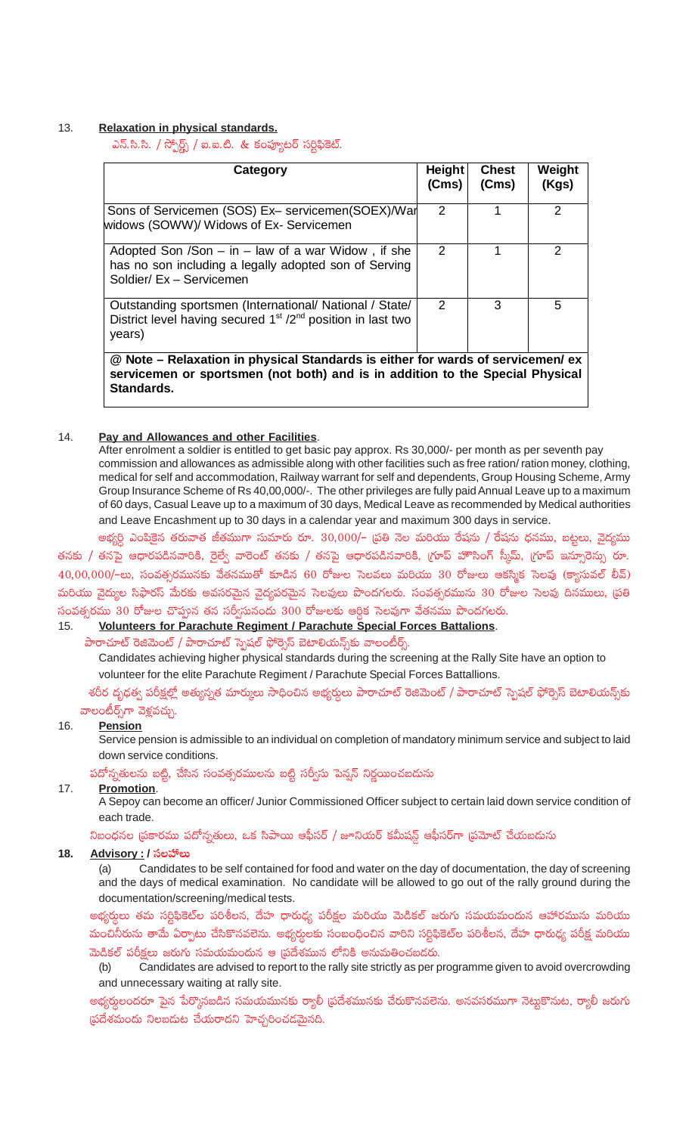## 13. **Relaxation in physical standards.**

ఎన్.సి.సి. / స్పోర్ట్స్ / ఐ.ఐ.టి. & కంప్యూటర్ సర్టిఫికెట్.

| Category                                                                                                                                                         | Height<br>(Cms) | <b>Chest</b><br>(Cms) | Weight<br>(Kgs) |
|------------------------------------------------------------------------------------------------------------------------------------------------------------------|-----------------|-----------------------|-----------------|
| Sons of Servicemen (SOS) Ex- servicemen (SOEX)/War<br>widows (SOWW)/ Widows of Ex- Servicemen                                                                    | $\mathcal{P}$   |                       | $\mathcal{P}$   |
| Adopted Son /Son $-$ in $-$ law of a war Widow, if she<br>has no son including a legally adopted son of Serving<br>Soldier/ Ex - Servicemen                      | $\mathcal{P}$   |                       | $\mathcal{P}$   |
| Outstanding sportsmen (International/ National / State/<br>District level having secured 1 <sup>st</sup> /2 <sup>nd</sup> position in last two<br>years)         | $\mathcal{P}$   | 3                     | 5               |
| @ Note – Relaxation in physical Standards is either for wards of servicemen/ ex<br>servicemen or sportsmen (not both) and is in addition to the Special Physical |                 |                       |                 |

**Standards.** 

## 14. **Pay and Allowances and other Facilities**.

After enrolment a soldier is entitled to get basic pay approx. Rs 30,000/- per month as per seventh pay commission and allowances as admissible along with other facilities such as free ration/ ration money, clothing, medical for self and accommodation, Railway warrant for self and dependents, Group Housing Scheme, Army Group Insurance Scheme of Rs 40,00,000/-. The other privileges are fully paid Annual Leave up to a maximum of 60 days, Casual Leave up to a maximum of 30 days, Medical Leave as recommended by Medical authorities and Leave Encashment up to 30 days in a calendar year and maximum 300 days in service.

అభ్యర్ధి ఎంపికైన తరువాత జీతముగా సుమారు రూ. 30,000/– 'ప్రతి నెల మరియు రేషను / రేషను ధనము, బట్టలు, వైద్యము తనకు / తనపై ఆధారపడినవారికి, రైల్వే వారెంట్ తనకు / తనపై ఆధారపడినవారికి, 'గూప్ హౌసింగ్ స్కీమ్, 'గూప్ ఇన్సూరెన్సు రూ.  $40,00,000/$ -లు, సంవత్సరమునకు వేతనముతో కూడిన 60 రోజుల సెలవలు మరియు 30 రోజులు ఆకస్మిక సెలవు (క్యాసువల్ లీవ్)

మరియు వైద్యుల సిఫారస్ మేరకు అవసరమైన వైద్యపరమైన సెలవులు పొందగలరు. సంవత్సరమును 30 రోజుల సెలవు దినములు, (పతి సంవత్సరము 30 రోజుల చొప్పున తన సర్వీసునందు 300 రోజులకు ఆర్ధిక సెలవుగా వేతనము పొందగలరు.<br>15 Volunteers for Parachute Regiment / Parachute Special Forces Battalions

## 15. **Volunteers for Parachute Regiment / Parachute Special Forces Battalions**.

పారాచూట్ రెజిమెంట్ / పారాచూట్ స్పెషల్ ఫోర్సెస్ బెటాలియన్స్క్లో వాలంటీర్స్.

Candidates achieving higher physical standards during the screening at the Rally Site have an option to volunteer for the elite Parachute Regiment / Parachute Special Forces Battallions.

శరీర దృఢత్వ పరీక్షల్లో అత్యున్నత మార్కులు సాధించిన అభ్యర్దులు పారాచూట్ రెజిమెంట్ / పారాచూట్ స్పెషల్ ఫోర్సెస్ బెటాలియన్స్<mark>క</mark>ు వాలంటీర్స్గా వెళ్లవచ్చు.

### 16. **Pension**

Service pension is admissible to an individual on completion of mandatory minimum service and subject to laid down service conditions.

పదోన్నతులను బట్టి, చేసిన సంవత్సరములను బట్టి సర్వీసు పెన్నన్ నిర్ణయించబదును

### 17. **Promotion**.

A Sepoy can become an officer/ Junior Commissioned Officer subject to certain laid down service condition of each trade.

నిబంధనల (పకారము పదోన్నతులు, ఒక సిపాయి ఆఫీసర్ / జూనియర్ కమీషన్డ్ ఆఫీసర్గా (పమోట్ చేయబడును

# 18. <u>Advisory :</u> / సలహాలు<br>(a) Candidate

Candidates to be self contained for food and water on the day of documentation, the day of screening and the days of medical examination. No candidate will be allowed to go out of the rally ground during the documentation/screening/medical tests.

అభ్యర్ధులు తమ సర్టిఫికెట్ల పరిశీలన, దేహ ధారుధ్య పరీక్షల మరియు మెడికల్ జరుగు సమయమందున ఆహారమును మరియు మంచినీరును తామే ఏర్పాటు చేసికొనవలెను. అభ్యర్ధులకు సంబంధించిన వారిని సర్టిఫికెట్ల పరిశీలన, దేహ ధారుధ్య పరీక్ష మరియు మెడికల్ పరీక్షలు జరుగు సమయమందున ఆ (పదేశమున లోనికి అనుమతించబడరు.<br>(b) Candidates are advised to report to the rally site strictly as per p

Candidates are advised to report to the rally site strictly as per programme given to avoid overcrowding and unnecessary waiting at rally site.

అభ్యర్తులందరూ పైన పేర్మొనబడిన సమయమునకు ర్యాలీ ∣ప్రదేశమునకు చేరుకొనవలెను. అనవసరముగా నెట్లకొనుట, ర్యాలీ జరుగు (పదేశమందు నిలబడుట చేయరాదని హెచ్చరించడమైనది.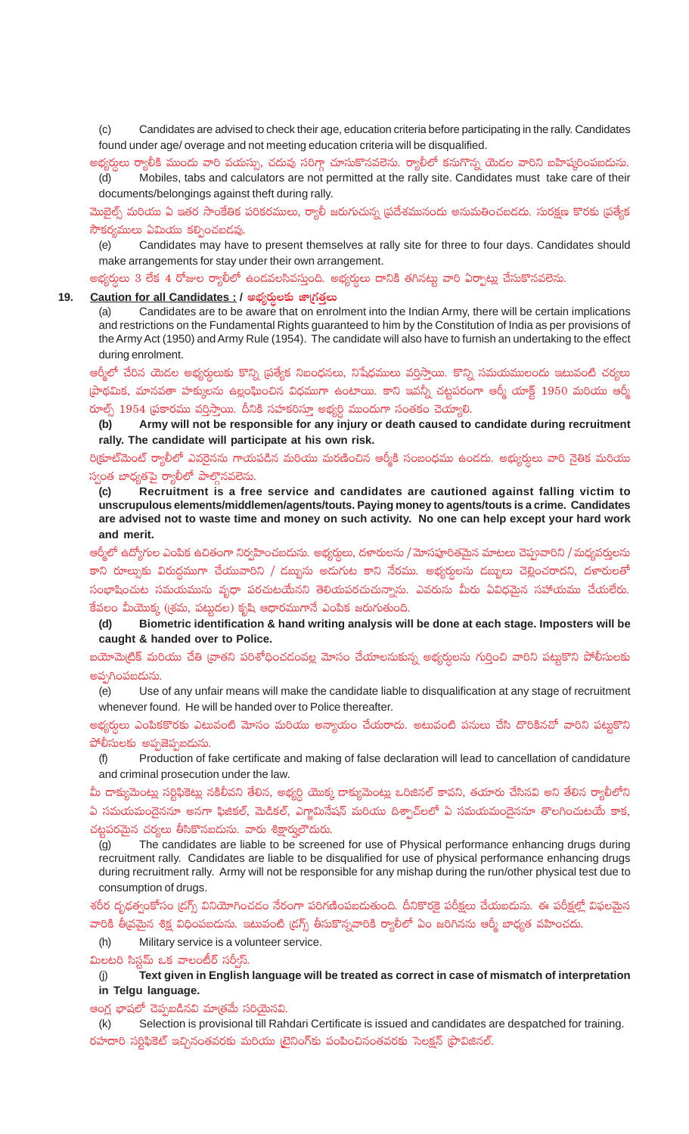(c) Candidates are advised to check their age, education criteria before participating in the rally. Candidates found under age/ overage and not meeting education criteria will be disqualified.

అభ్యర్ధులు ర్యాలీకి ముందు వారి వయస్సు, చదువు సరిగ్గా చూసుకొనవలెను. ర్యాలీలో కనుగొన్న యెడల వారిని బహిష్కరింపబడును.<br>(d) Mobiles, tabs and calculators are not permitted at the rally site. Candidates must take care of Mobiles, tabs and calculators are not permitted at the rally site. Candidates must take care of their documents/belongings against theft during rally.

మోబైల్స్ మరియు ఏ ఇతర సాంకేతిక పరికరములు, ర్యాలీ జరుగుచున్న (పదేశమునందు అనుమతించబడదు. సురక్షణ కొరకు (పత్యేక సౌకర్యములు ఏమియు కల్పించబడవు.<br>´(e) Candidates mav have

Candidates may have to present themselves at rally site for three to four days. Candidates should make arrangements for stay under their own arrangement.

అభ్యర్ధులు 3 లేక 4 రోజుల ర్యాలీలో ఉండవలసివస్తుంది. అభ్యర్ధులు దానికి తగినట్లు వారి ఏర్పాట్లు చేసుకొనవలెను.

# **19. <u>Caution for all Candidates :</u> / అభ్యర్ధులకు జాగ్రత్తలు**<br>(a) Candidates are to be aware that on enro

Candidates are to be aware that on enrolment into the Indian Army, there will be certain implications and restrictions on the Fundamental Rights guaranteed to him by the Constitution of India as per provisions of the Army Act (1950) and Army Rule (1954). The candidate will also have to furnish an undertaking to the effect during enrolment.

ఆర్మీలో చేరిన యెదల అభ్యర్ధులుకు కొన్ని (పత్యేక నిబంధనలు, నిషేధములు వర్తిస్తాయి. కొన్ని సమయములందు ఇటువంటి చర్యలు  $[$ పాథమిక, మానవతా హక్కులను ఉల్లంఘించిన విధముగా ఉంటాయి. కాని ఇవన్నీ చట్టపరంగా ఆర్మీ యాక్ట్ 1950 మరియు ఆర్మీ రూల్స్ 1954 (పకారము వర్తిస్తాయి. దీనికి సహకరిస్తూ అభ్యర్ధి ముందుగా సంతకం చెయ్యాలి.<br> (b) Armv will not be responsible for anv iniurv or death caused to

**(b) Army will not be responsible for any injury or death caused to candidate during recruitment rally. The candidate will participate at his own risk.**

రి(కూట్మెంట్ ర్యాలీలో ఎవరైనను గాయపడిన మరియు మరణించిన ఆర్మీకి సంబంధము ఉండదు. అభ్యుర్దులు వారి నైతిక మరియు స్వంత బాధ్యతపై ర్యాలీలో పాల్గొనవలెను.

**(c) Recruitment is a free service and candidates are cautioned against falling victim to unscrupulous elements/middlemen/agents/touts. Paying money to agents/touts is a crime. Candidates are advised not to waste time and money on such activity. No one can help except your hard work and merit.**

ఆర్మీలో ఉద్యోగుల ఎంపిక ఉచితంగా నిర్వహించబదును. అభ్యర్ధులు, దళారులను / మోసపూరితమైన మాటలు చెప్పువారిని / మధ్యవర్తులను కాని రూల్సుకు విరుద్ధముగా చేయువారిని / డబ్బును అడుగుట కాని నేరము. అభ్యర్ధులను డబ్బులు చెల్లించరాదని, దళారులతో సంభాషించుట సమయమును వృధా పరచుటయేనని తెలియపరచుచున్నాను. ఎవరును మీరు ఏవిధమైన సహాయము చేయలేరు. కేవలం మీయొక్క ((శమ, పట్టుదల) కృషి ఆధారముగానే ఎంపిక జరుగుతుంది.<br> **(d) Biometric identification & hand writing analysis wil** 

**(d) Biometric identification & hand writing analysis will be done at each stage. Imposters will be caught & handed over to Police.**

aయోమెట్రిక్ మరియు చేతి |వాతని పరిశోధించడంవల్ల మోసం చేయాలనుకున్న అభ్యర్ధులను గుర్తించి వారిని పట్టుకొని పోలీసులకు అప్పగింపబడును.<br>(e) Use

Use of any unfair means will make the candidate liable to disqualification at any stage of recruitment whenever found. He will be handed over to Police thereafter.

అభ్యర్తులు ఎంపికకొరకు ఎటువంటి మోసం మరియు అన్వాయం చేయరాదు. అటువంటి పనులు చేసి దొరికినచో వారిని పట్లుకొని పోలీసులకు అప్పజెప్పబడును.<br>— f1 Production of f

Production of fake certificate and making of false declaration will lead to cancellation of candidature and criminal prosecution under the law.

మీ దాక్యుమెంట్లు సర్టిఫికెట్లు నకిలీవని తేలిన, అభ్యర్ధి యొక్క దాక్యుమెంట్లు ఒరిజినల్ కావని, తయారు చేసినవి అని తేలిన <mark>ర్యా</mark>లీలోని ఏ సమయమందైననూ అనగా ఫిజికల్, మెడికల్, ఎగ్జామినేషన్ మరియు దిశ్చాచ్లలో ఏ సమయమందైననూ తొలగించుటయే కాక, చట్టపరమైన చర్యలు తీసికొనబడును. వారు శిక్షార్హులౌదురు.<br>(g) The candidates are liable to be screen

The candidates are liable to be screened for use of Physical performance enhancing drugs during recruitment rally. Candidates are liable to be disqualified for use of physical performance enhancing drugs during recruitment rally. Army will not be responsible for any mishap during the run/other physical test due to consumption of drugs.

శరీర దృఢత్వంకోసం (డగ్స్ వినియోగించడం నేరంగా పరిగణింపబడుతుంది. దీనికొరకై పరీక్షలు చేయబడును. ఈ పరీక్షల్లో విఫలమైన వారికి తీ[వమైన శిక్ష విధింపబడును. ఇటువంటి (డగ్స్ తీసుకొన్నవారికి ర్యాలీలో ఏం జరిగినను ఆర్మీ బాధ్యత వహించదు.

(h) Military service is a volunteer service.

\$T\≥] dædüºyéT ˇø£ yê\+{°sY düØ«dt.

Text given in English language will be treated as correct in case of mismatch of interpretation **in Telgu language.**

ఆంగ్ల భాషలో చెప్పబడినవి మా[తమే సరియైనవి.<br>Quinty of Selection is provisional till Rah

Selection is provisional till Rahdari Certificate is issued and candidates are despatched for training. రహదారి సర్టిఫికెట్ ఇచ్చినంతవరకు మరియు (టైనింగ్**కు పంపించినంతవరకు సెలక్షన్ [పొ**విజినల్.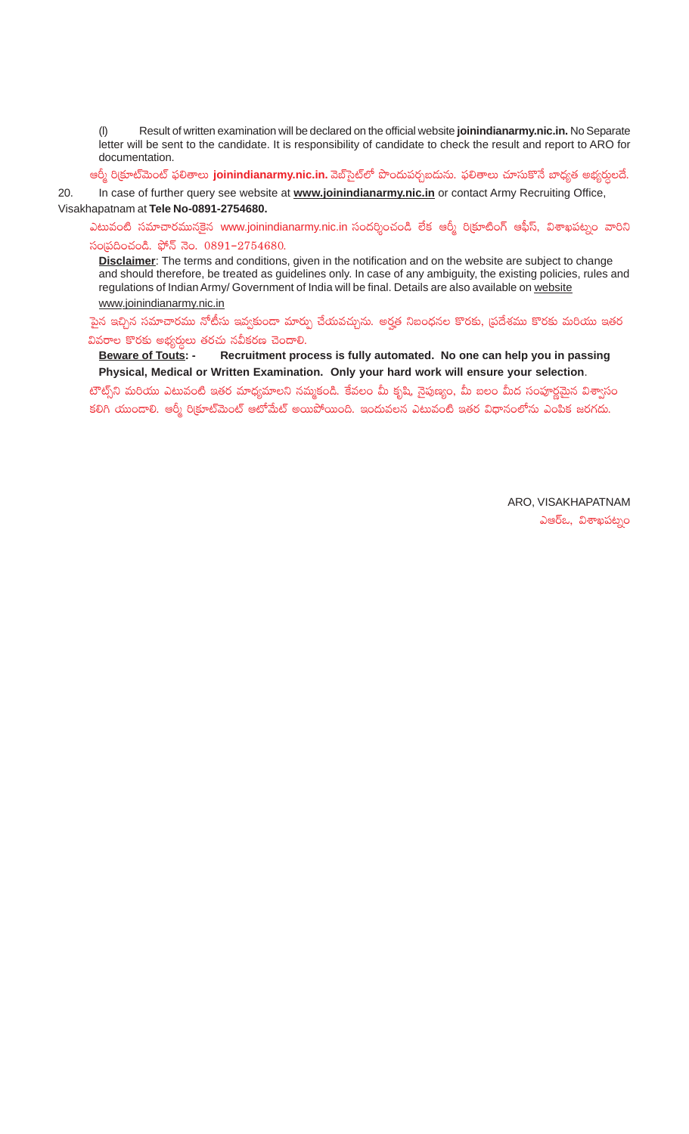(l) Result of written examination will be declared on the official website **joinindianarmy.nic.in.** No Separate letter will be sent to the candidate. It is responsibility of candidate to check the result and report to ARO for documentation.

ఆర్మీ రి(కూట్మెంట్ ఫలితాలు **joinindianarmy.nic.in.** వెబ్సైట్లో పొందుపర్చబడును. ఫలితాలు చూసుకొనే బాధ్యత అభ్యర్ధులదే.

20. In case of further query see website at **www.joinindianarmy.nic.in** or contact Army Recruiting Office, Visakhapatnam at **Tele No-0891-2754680.**

ఎటువంటి సమాచారమునకైన www.joinindianarmy.nic.in సందర్శించండి లేక ఆర్మీ రి(కూటింగ్ ఆఫీస్, విశాఖపట్నం వారిని  $\tilde{\omega}$ 0 సంబంచండి. ఫోన్ నెం. 0891-2754680.

**Disclaimer**: The terms and conditions, given in the notification and on the website are subject to change and should therefore, be treated as guidelines only. In case of any ambiguity, the existing policies, rules and regulations of Indian Army/ Government of India will be final. Details are also available on website www.joinindianarmy.nic.in

పైన ఇచ్చిన సమాచారము నోటీసు ఇవ్వకుండా మార్పు చేయవచ్చును. అర్హత నిబంధనల కొరకు, <sub>l</sub>పదేశము కొరకు మరియు ఇతర

వివరాల కొరకు అభ్యర్ధులు తరచు నవీకరణ చెందాలి.<br><u> Beware of Touts</u>: - Recruitment pro Recruitment process is fully automated. No one can help you in passing **Physical, Medical or Written Examination. Only your hard work will ensure your selection**.

టౌట్స్ని మరియు ఎటువంటి ఇతర మాధ్యమాలని నమ్మకండి. కేవలం మీ కృషి, నైపుణ్యం, మీ బలం మీద సంపూర్ణమైన విశ్వాసం కలిగి యుందాలి. ఆర్మీ రిక్రూట్మెంట్ ఆటోమేట్ అయిపోయింది. ఇందువలన ఎటువంటి ఇతర విధానంలోను ఎంపిక జరగదు.

> ARO, VISAKHAPATNAM ఎఆర్ఒ, విశాఖపట్నం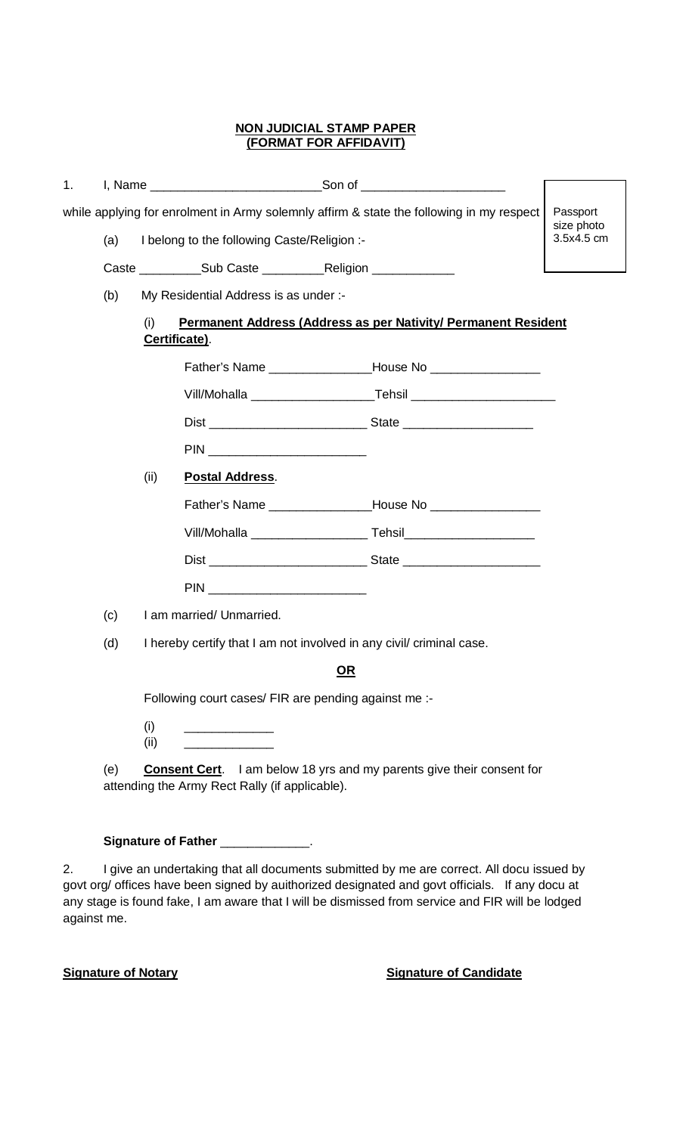## **NON JUDICIAL STAMP PAPER (FORMAT FOR AFFIDAVIT)**

| 1. |                                                                                                                       |      |                                                                      |                                                                              |  |  |  |  |
|----|-----------------------------------------------------------------------------------------------------------------------|------|----------------------------------------------------------------------|------------------------------------------------------------------------------|--|--|--|--|
|    | while applying for enrolment in Army solemnly affirm & state the following in my respect<br>Passport<br>size photo    |      |                                                                      |                                                                              |  |  |  |  |
|    | I belong to the following Caste/Religion :-<br>(a)                                                                    |      |                                                                      |                                                                              |  |  |  |  |
|    |                                                                                                                       |      |                                                                      |                                                                              |  |  |  |  |
|    | My Residential Address is as under :-<br>(b)                                                                          |      |                                                                      |                                                                              |  |  |  |  |
|    | <b>Permanent Address (Address as per Nativity/ Permanent Resident</b><br>(i)<br>Certificate).                         |      |                                                                      |                                                                              |  |  |  |  |
|    |                                                                                                                       |      |                                                                      |                                                                              |  |  |  |  |
|    |                                                                                                                       |      |                                                                      |                                                                              |  |  |  |  |
|    |                                                                                                                       |      |                                                                      |                                                                              |  |  |  |  |
|    |                                                                                                                       |      | PIN __________________________                                       |                                                                              |  |  |  |  |
|    |                                                                                                                       | (ii) | <b>Postal Address.</b>                                               |                                                                              |  |  |  |  |
|    |                                                                                                                       |      |                                                                      |                                                                              |  |  |  |  |
|    |                                                                                                                       |      |                                                                      |                                                                              |  |  |  |  |
|    |                                                                                                                       |      |                                                                      |                                                                              |  |  |  |  |
|    |                                                                                                                       |      | PIN __________________________                                       |                                                                              |  |  |  |  |
|    | (c)                                                                                                                   |      | I am married/ Unmarried.                                             |                                                                              |  |  |  |  |
|    | (d)                                                                                                                   |      | I hereby certify that I am not involved in any civil/ criminal case. |                                                                              |  |  |  |  |
|    | <b>OR</b>                                                                                                             |      |                                                                      |                                                                              |  |  |  |  |
|    | Following court cases/ FIR are pending against me :-                                                                  |      |                                                                      |                                                                              |  |  |  |  |
|    | (i)<br><u> 1990 - Johann Barnett, fransk politiker</u><br>(i)<br><u> 1989 - Johann Stoff, Amerikaansk politiker (</u> |      |                                                                      |                                                                              |  |  |  |  |
|    | (e)                                                                                                                   |      |                                                                      | <b>Consent Cert.</b> I am below 18 yrs and my parents give their consent for |  |  |  |  |
|    |                                                                                                                       |      | attending the Army Rect Rally (if applicable).                       |                                                                              |  |  |  |  |

# Signature of Father \_\_\_\_\_\_\_\_\_\_\_\_\_.

2. I give an undertaking that all documents submitted by me are correct. All docu issued by govt org/ offices have been signed by auithorized designated and govt officials. If any docu at any stage is found fake, I am aware that I will be dismissed from service and FIR will be lodged against me.

## **Signature of Notary Signature of Candidate**